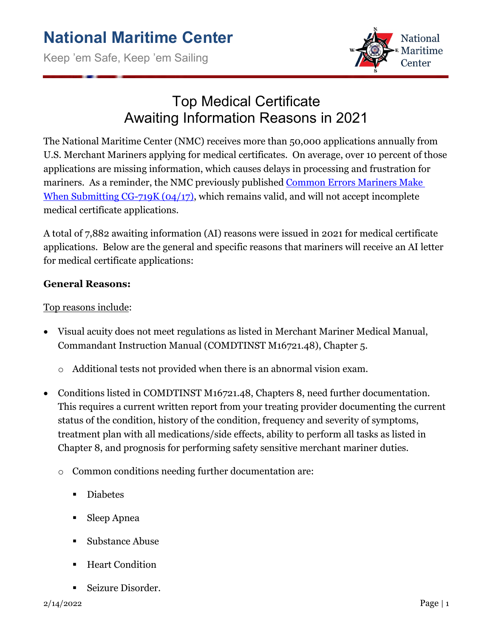

## Top Medical Certificate Awaiting Information Reasons in 2021

The National Maritime Center (NMC) receives more than 50,000 applications annually from U.S. Merchant Mariners applying for medical certificates. On average, over 10 percent of those applications are missing information, which causes delays in processing and frustration for mariners. As a reminder, the NMC previously published [Common Errors Mariners Make](https://www.dco.uscg.mil/Portals/9/NMC/pdfs/medical/common_errors_719K.pdf)  [When Submitting CG-719K \(04/17\),](https://www.dco.uscg.mil/Portals/9/NMC/pdfs/medical/common_errors_719K.pdf) which remains valid, and will not accept incomplete medical certificate applications.

A total of 7,882 awaiting information (AI) reasons were issued in 2021 for medical certificate applications. Below are the general and specific reasons that mariners will receive an AI letter for medical certificate applications:

### **General Reasons:**

#### Top reasons include:

- Visual acuity does not meet regulations as listed in Merchant Mariner Medical Manual, Commandant Instruction Manual (COMDTINST M16721.48), Chapter 5.
	- o Additional tests not provided when there is an abnormal vision exam.
- Conditions listed in COMDTINST M16721.48, Chapters 8, need further documentation. This requires a current written report from your treating provider documenting the current status of the condition, history of the condition, frequency and severity of symptoms, treatment plan with all medications/side effects, ability to perform all tasks as listed in Chapter 8, and prognosis for performing safety sensitive merchant mariner duties.
	- o Common conditions needing further documentation are:
		- Diabetes
		- Sleep Apnea
		- Substance Abuse
		- Heart Condition
		- Seizure Disorder.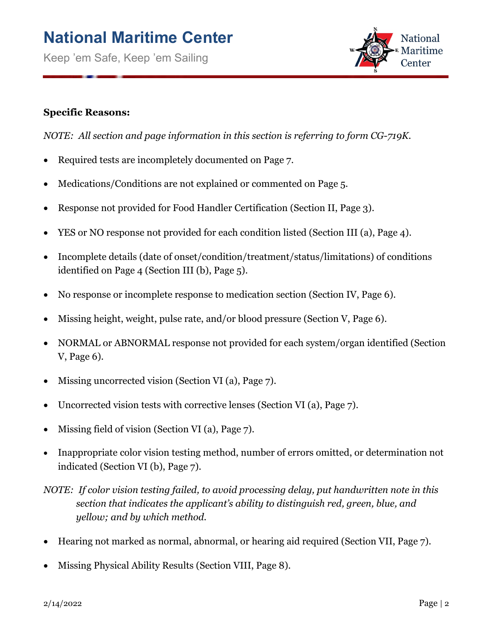Keep 'em Safe, Keep 'em Sailing



#### **Specific Reasons:**

*NOTE: All section and page information in this section is referring to form CG-719K.*

- Required tests are incompletely documented on Page 7.
- Medications/Conditions are not explained or commented on Page 5.
- Response not provided for Food Handler Certification (Section II, Page 3).
- YES or NO response not provided for each condition listed (Section III (a), Page 4).
- Incomplete details (date of onset/condition/treatment/status/limitations) of conditions identified on Page 4 (Section III (b), Page 5).
- No response or incomplete response to medication section (Section IV, Page 6).
- Missing height, weight, pulse rate, and/or blood pressure (Section V, Page 6).
- NORMAL or ABNORMAL response not provided for each system/organ identified (Section V, Page 6).
- Missing uncorrected vision (Section VI (a), Page 7).
- Uncorrected vision tests with corrective lenses (Section VI (a), Page 7).
- Missing field of vision (Section VI (a), Page 7).
- Inappropriate color vision testing method, number of errors omitted, or determination not indicated (Section VI (b), Page 7).

*NOTE: If color vision testing failed, to avoid processing delay, put handwritten note in this section that indicates the applicant's ability to distinguish red, green, blue, and yellow; and by which method.*

- Hearing not marked as normal, abnormal, or hearing aid required (Section VII, Page 7).
- Missing Physical Ability Results (Section VIII, Page 8).